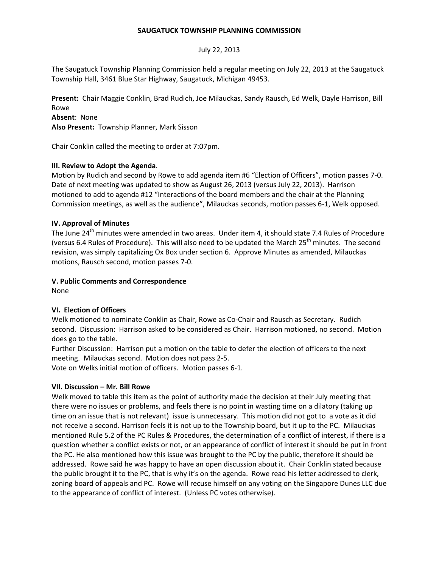### **SAUGATUCK TOWNSHIP PLANNING COMMISSION**

### July 22, 2013

The Saugatuck Township Planning Commission held a regular meeting on July 22, 2013 at the Saugatuck Township Hall, 3461 Blue Star Highway, Saugatuck, Michigan 49453.

**Present:** Chair Maggie Conklin, Brad Rudich, Joe Milauckas, Sandy Rausch, Ed Welk, Dayle Harrison, Bill Rowe

## **Absent**: None

**Also Present:** Township Planner, Mark Sisson

Chair Conklin called the meeting to order at 7:07pm.

### **III. Review to Adopt the Agenda**.

Motion by Rudich and second by Rowe to add agenda item #6 "Election of Officers", motion passes 7-0. Date of next meeting was updated to show as August 26, 2013 (versus July 22, 2013). Harrison motioned to add to agenda #12 "Interactions of the board members and the chair at the Planning Commission meetings, as well as the audience", Milauckas seconds, motion passes 6-1, Welk opposed.

### **IV. Approval of Minutes**

The June 24<sup>th</sup> minutes were amended in two areas. Under item 4, it should state 7.4 Rules of Procedure (versus 6.4 Rules of Procedure). This will also need to be updated the March 25<sup>th</sup> minutes. The second revision, was simply capitalizing Ox Box under section 6. Approve Minutes as amended, Milauckas motions, Rausch second, motion passes 7-0.

### **V. Public Comments and Correspondence**

None

# **VI. Election of Officers**

Welk motioned to nominate Conklin as Chair, Rowe as Co-Chair and Rausch as Secretary. Rudich second. Discussion: Harrison asked to be considered as Chair. Harrison motioned, no second. Motion does go to the table.

Further Discussion: Harrison put a motion on the table to defer the election of officers to the next meeting. Milauckas second. Motion does not pass 2-5.

Vote on Welks initial motion of officers. Motion passes 6-1.

#### **VII. Discussion – Mr. Bill Rowe**

Welk moved to table this item as the point of authority made the decision at their July meeting that there were no issues or problems, and feels there is no point in wasting time on a dilatory (taking up time on an issue that is not relevant) issue is unnecessary. This motion did not got to a vote as it did not receive a second. Harrison feels it is not up to the Township board, but it up to the PC. Milauckas mentioned Rule 5.2 of the PC Rules & Procedures, the determination of a conflict of interest, if there is a question whether a conflict exists or not, or an appearance of conflict of interest it should be put in front the PC. He also mentioned how this issue was brought to the PC by the public, therefore it should be addressed. Rowe said he was happy to have an open discussion about it. Chair Conklin stated because the public brought it to the PC, that is why it's on the agenda. Rowe read his letter addressed to clerk, zoning board of appeals and PC. Rowe will recuse himself on any voting on the Singapore Dunes LLC due to the appearance of conflict of interest. (Unless PC votes otherwise).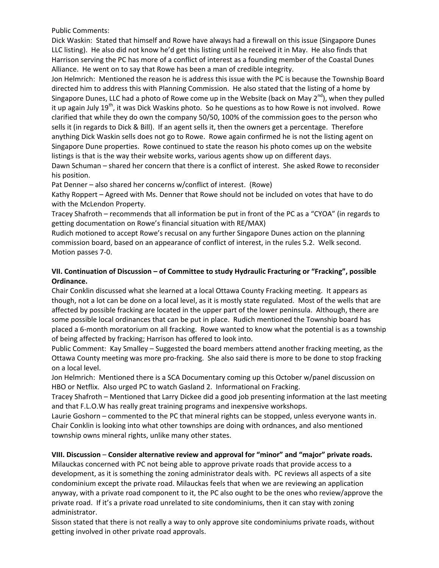Public Comments:

Dick Waskin: Stated that himself and Rowe have always had a firewall on this issue (Singapore Dunes LLC listing). He also did not know he'd get this listing until he received it in May. He also finds that Harrison serving the PC has more of a conflict of interest as a founding member of the Coastal Dunes Alliance. He went on to say that Rowe has been a man of credible integrity.

Jon Helmrich: Mentioned the reason he is address this issue with the PC is because the Township Board directed him to address this with Planning Commission. He also stated that the listing of a home by Singapore Dunes, LLC had a photo of Rowe come up in the Website (back on May  $2^{nd}$ ), when they pulled it up again July 19<sup>th</sup>, it was Dick Waskins photo. So he questions as to how Rowe is not involved. Rowe clarified that while they do own the company 50/50, 100% of the commission goes to the person who sells it (in regards to Dick & Bill). If an agent sells it, then the owners get a percentage. Therefore anything Dick Waskin sells does not go to Rowe. Rowe again confirmed he is not the listing agent on Singapore Dune properties. Rowe continued to state the reason his photo comes up on the website listings is that is the way their website works, various agents show up on different days.

Dawn Schuman – shared her concern that there is a conflict of interest. She asked Rowe to reconsider his position.

Pat Denner – also shared her concerns w/conflict of interest. (Rowe)

Kathy Roppert – Agreed with Ms. Denner that Rowe should not be included on votes that have to do with the McLendon Property.

Tracey Shafroth – recommends that all information be put in front of the PC as a "CYOA" (in regards to getting documentation on Rowe's financial situation with RE/MAX)

Rudich motioned to accept Rowe's recusal on any further Singapore Dunes action on the planning commission board, based on an appearance of conflict of interest, in the rules 5.2. Welk second. Motion passes 7-0.

# **VII. Continuation of Discussion – of Committee to study Hydraulic Fracturing or "Fracking", possible Ordinance.**

Chair Conklin discussed what she learned at a local Ottawa County Fracking meeting. It appears as though, not a lot can be done on a local level, as it is mostly state regulated. Most of the wells that are affected by possible fracking are located in the upper part of the lower peninsula. Although, there are some possible local ordinances that can be put in place. Rudich mentioned the Township board has placed a 6-month moratorium on all fracking. Rowe wanted to know what the potential is as a township of being affected by fracking; Harrison has offered to look into.

Public Comment: Kay Smalley – Suggested the board members attend another fracking meeting, as the Ottawa County meeting was more pro-fracking. She also said there is more to be done to stop fracking on a local level.

Jon Helmrich: Mentioned there is a SCA Documentary coming up this October w/panel discussion on HBO or Netflix. Also urged PC to watch Gasland 2. Informational on Fracking.

Tracey Shafroth – Mentioned that Larry Dickee did a good job presenting information at the last meeting and that F.L.O.W has really great training programs and inexpensive workshops.

Laurie Goshorn – commented to the PC that mineral rights can be stopped, unless everyone wants in. Chair Conklin is looking into what other townships are doing with ordnances, and also mentioned township owns mineral rights, unlike many other states.

# **VIII. Discussion** – **Consider alternative review and approval for "minor" and "major" private roads.**

Milauckas concerned with PC not being able to approve private roads that provide access to a development, as it is something the zoning administrator deals with. PC reviews all aspects of a site condominium except the private road. Milauckas feels that when we are reviewing an application anyway, with a private road component to it, the PC also ought to be the ones who review/approve the private road. If it's a private road unrelated to site condominiums, then it can stay with zoning administrator.

Sisson stated that there is not really a way to only approve site condominiums private roads, without getting involved in other private road approvals.